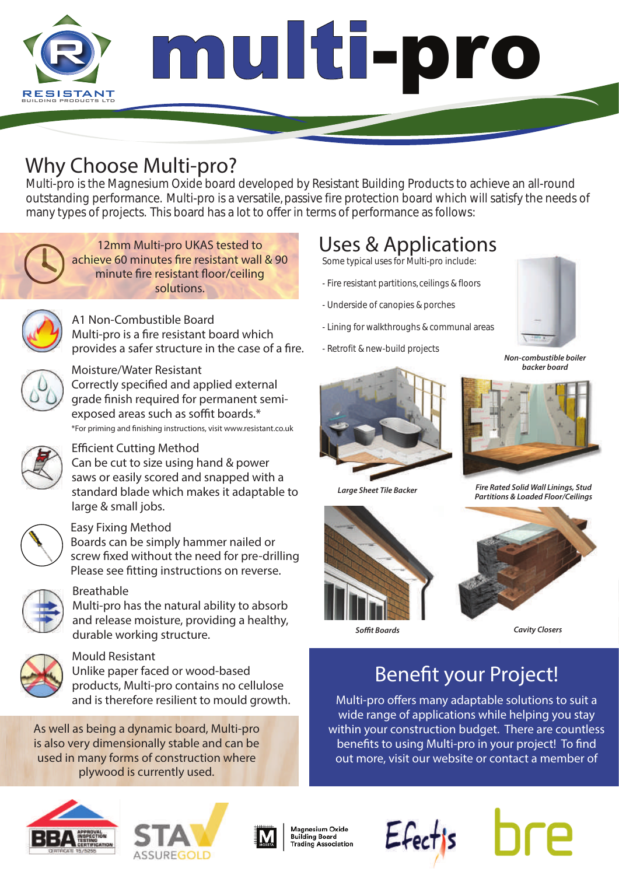

Multi-pro is the Magnesium Oxide board developed by Resistant Building Products to achieve an all-round outstanding performance. Multi-pro is a versatile, passive fire protection board which will satisfy the needs of many types of projects. This board has a lot to offer in terms of performance as follows:



*12mm Multi-pro UKAS tested to*  achieve 60 minutes fire resistant wall & 90 *minute fire resistant floor/ceiling solutions.* 



A1 Non-Combustible Board Multi-pro is a fire resistant board which provides a safer structure in the case of a fire. <br>Non-combustible boiler



### Moisture/Water Resistant

\*For priming and nishing instructions, visit www.resistant.co.uk Correctly specified and applied external grade finish required for permanent semiexposed areas such as soffit boards.\*

### **Efficient Cutting Method**

Can be cut to size using hand & power saws or easily scored and snapped with a standard blade which makes it adaptable to large & small jobs.



### Easy Fixing Method

Boards can be simply hammer nailed or screw fixed without the need for pre-drilling. Please see fitting instructions on reverse.



### Breathable

Multi-pro has the natural ability to absorb and release moisture, providing a healthy, durable working structure.



### Mould Resistant

Unlike paper faced or wood-based products, Multi-pro contains no cellulose and is therefore resilient to mould growth.

*As well as being a dynamic board, Multi-pro is also very dimensionally stable and can be used in many forms of construction where plywood is currently used.*

# Uses & Applications

Some typical uses for Multi-pro include:

- Fire resistant partitions, ceilings & floors
- Underside of canopies & porches
- Lining for walkthroughs & communal areas
- Retrofit & new-build projects



*backer board*







*Large Sheet Tile Backer Fire Rated Solid Wall Linings, Stud Partitions & Loaded Floor/Ceilings*



*Cavity Closers Sot Boards Cavity Closers*

## Benefit your Project!

Multi-pro offers many adaptable solutions to suit a wide range of applications while helping you stay within your construction budget. There are countless benefits to using Multi-pro in your project! To find out more, visit our website or contact a member of







Magnesium Oxide **Building Board Trading Association**